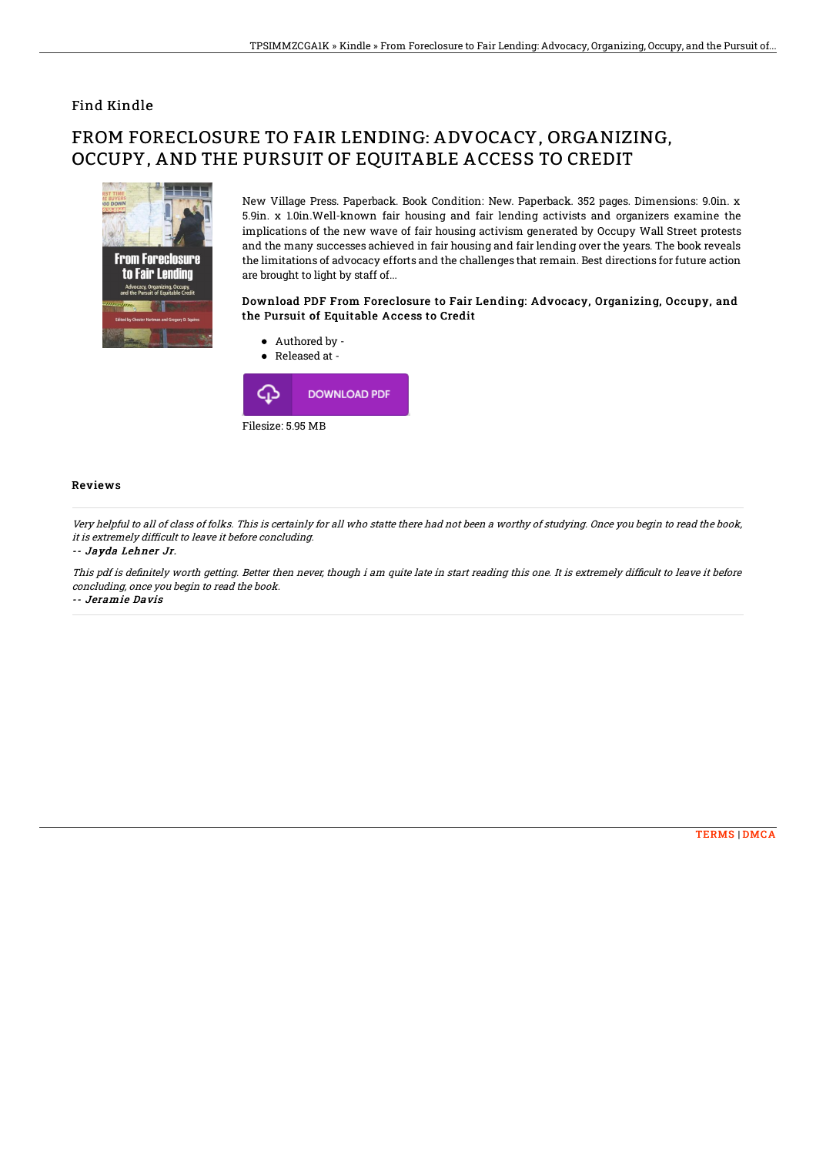## Find Kindle

# FROM FORECLOSURE TO FAIR LENDING: ADVOCACY, ORGANIZING, OCCUPY, AND THE PURSUIT OF EQUITABLE ACCESS TO CREDIT



New Village Press. Paperback. Book Condition: New. Paperback. 352 pages. Dimensions: 9.0in. x 5.9in. x 1.0in.Well-known fair housing and fair lending activists and organizers examine the implications of the new wave of fair housing activism generated by Occupy Wall Street protests and the many successes achieved in fair housing and fair lending over the years. The book reveals the limitations of advocacy efforts and the challenges that remain. Best directions for future action are brought to light by staff of...

### Download PDF From Foreclosure to Fair Lending: Advocacy, Organizing, Occupy, and the Pursuit of Equitable Access to Credit



#### Reviews

Very helpful to all of class of folks. This is certainly for all who statte there had not been <sup>a</sup> worthy of studying. Once you begin to read the book, it is extremely difficult to leave it before concluding.

#### -- Jayda Lehner Jr.

This pdf is definitely worth getting. Better then never, though i am quite late in start reading this one. It is extremely difficult to leave it before concluding, once you begin to read the book. -- Jeramie Davis